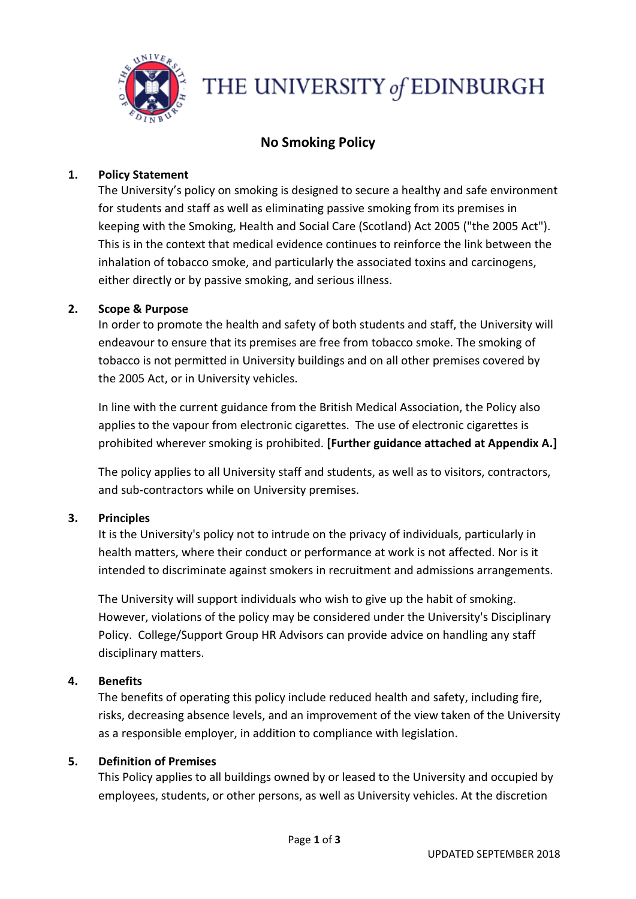

# THE UNIVERSITY of EDINBURGH

# **No Smoking Policy**

#### **1. Policy Statement**

The University's policy on smoking is designed to secure a healthy and safe environment for students and staff as well as eliminating passive smoking from its premises in keeping with the Smoking, Health and Social Care (Scotland) Act 2005 ("the 2005 Act"). This is in the context that medical evidence continues to reinforce the link between the inhalation of tobacco smoke, and particularly the associated toxins and carcinogens, either directly or by passive smoking, and serious illness.

#### **2. Scope & Purpose**

In order to promote the health and safety of both students and staff, the University will endeavour to ensure that its premises are free from tobacco smoke. The smoking of tobacco is not permitted in University buildings and on all other premises covered by the 2005 Act, or in University vehicles.

In line with the current guidance from the British Medical Association, the Policy also applies to the vapour from electronic cigarettes. The use of electronic cigarettes is prohibited wherever smoking is prohibited. **[Further guidance attached at Appendix A.]**

The policy applies to all University staff and students, as well as to visitors, contractors, and sub-contractors while on University premises.

# **3. Principles**

It is the University's policy not to intrude on the privacy of individuals, particularly in health matters, where their conduct or performance at work is not affected. Nor is it intended to discriminate against smokers in recruitment and admissions arrangements.

The University will support individuals who wish to give up the habit of smoking. However, violations of the policy may be considered under the University's Disciplinary Policy. College/Support Group HR Advisors can provide advice on handling any staff disciplinary matters.

# **4. Benefits**

The benefits of operating this policy include reduced health and safety, including fire, risks, decreasing absence levels, and an improvement of the view taken of the University as a responsible employer, in addition to compliance with legislation.

#### **5. Definition of Premises**

This Policy applies to all buildings owned by or leased to the University and occupied by employees, students, or other persons, as well as University vehicles. At the discretion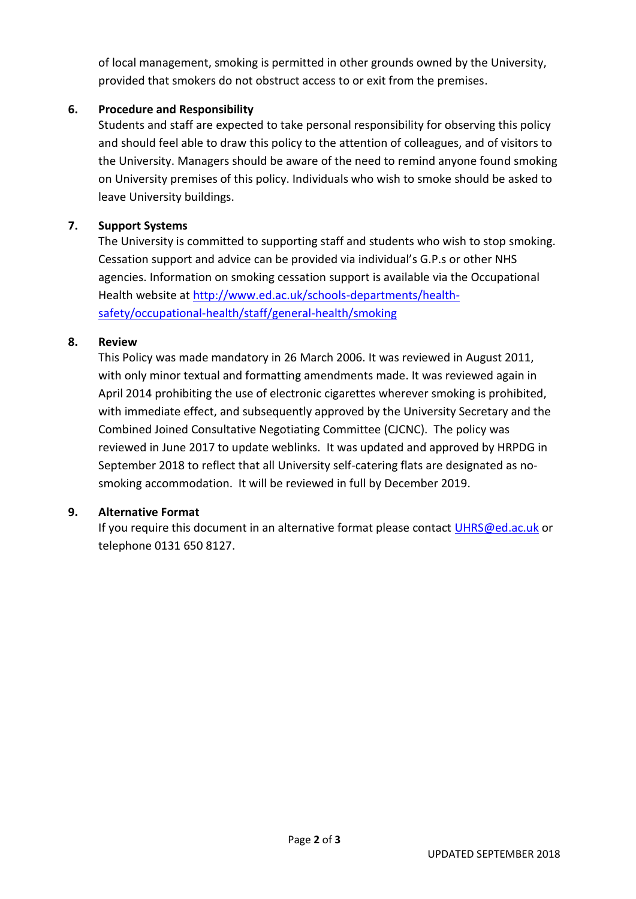of local management, smoking is permitted in other grounds owned by the University, provided that smokers do not obstruct access to or exit from the premises.

## **6. Procedure and Responsibility**

Students and staff are expected to take personal responsibility for observing this policy and should feel able to draw this policy to the attention of colleagues, and of visitors to the University. Managers should be aware of the need to remind anyone found smoking on University premises of this policy. Individuals who wish to smoke should be asked to leave University buildings.

#### **7. Support Systems**

The University is committed to supporting staff and students who wish to stop smoking. Cessation support and advice can be provided via individual's G.P.s or other NHS agencies. Information on smoking cessation support is available via the Occupational Health website at [http://www.ed.ac.uk/schools-departments/health](http://www.ed.ac.uk/schools-departments/health-safety/occupational-health/staff/general-health/smoking)[safety/occupational-health/staff/general-health/smoking](http://www.ed.ac.uk/schools-departments/health-safety/occupational-health/staff/general-health/smoking)

#### **8. Review**

This Policy was made mandatory in 26 March 2006. It was reviewed in August 2011, with only minor textual and formatting amendments made. It was reviewed again in April 2014 prohibiting the use of electronic cigarettes wherever smoking is prohibited, with immediate effect, and subsequently approved by the University Secretary and the Combined Joined Consultative Negotiating Committee (CJCNC). The policy was reviewed in June 2017 to update weblinks. It was updated and approved by HRPDG in September 2018 to reflect that all University self-catering flats are designated as nosmoking accommodation. It will be reviewed in full by December 2019.

#### **9. Alternative Format**

If you require this document in an alternative format please contact [UHRS@ed.ac.uk](mailto:UHRS@ed.ac.uk) or telephone 0131 650 8127.